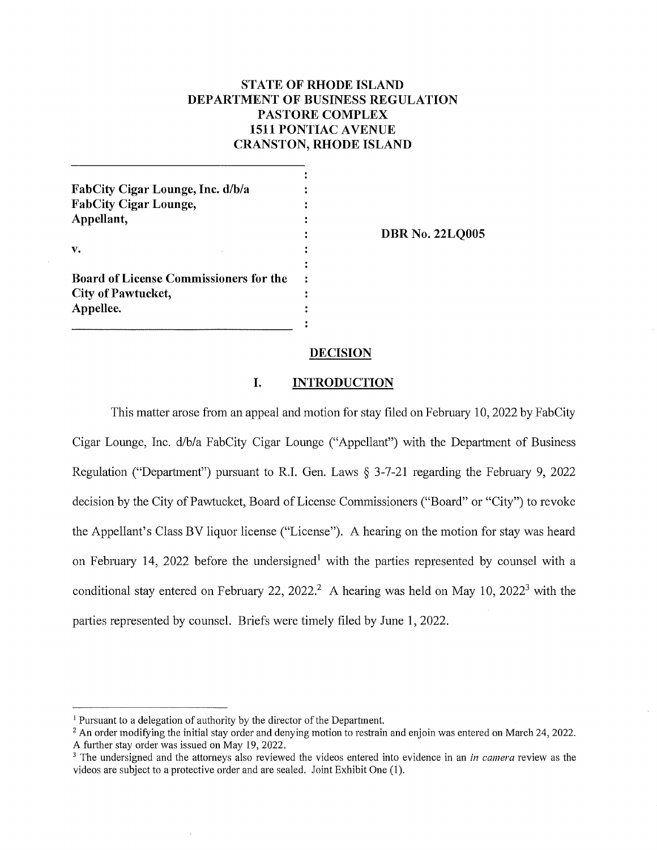# **STATE OF RHODE ISLAND DEPARTMENT OF BUSINESS REGULATION PASTORE COMPLEX 1511 PONTIAC A VENUE CRANSTON, RHODE ISLAND**

| FabCity Cigar Lounge, Inc. d/b/a              |  |
|-----------------------------------------------|--|
| <b>FabCity Cigar Lounge,</b>                  |  |
| Appellant,                                    |  |
|                                               |  |
| v.                                            |  |
|                                               |  |
| <b>Board of License Commissioners for the</b> |  |
| <b>City of Pawtucket,</b>                     |  |
| Appellee.                                     |  |
|                                               |  |

**DBR No. 22LQ00S** 

### **DECISION**

## **I. INTRODUCTION**

This matter arose from an appeal and motion for stay filed on February 10, 2022 by FabCity Cigar Lounge, Inc. d/b/a FabCity Cigar Lounge ("Appellant") with the Department of Business Regulation ("Department") pursuant to R.I. Gen. Laws § 3-7-21 regarding the February 9, 2022 decision by the City of Pawtucket, Board of License Commissioners ("Board" or "City") to revoke the Appellant's Class BV liquor license ("License"). A hearing on the motion for stay was heard on February 14, 2022 before the undersigned<sup>1</sup> with the parties represented by counsel with a conditional stay entered on February 22, 2022.<sup>2</sup> A hearing was held on May 10, 2022<sup>3</sup> with the parties represented by counsel. Briefs were timely filed by June 1, 2022.

 $<sup>1</sup>$  Pursuant to a delegation of authority by the director of the Department.</sup>

<sup>&</sup>lt;sup>2</sup> An order modifying the initial stay order and denying motion to restrain and enjoin was entered on March 24, 2022. A further stay order was issued on May 19, 2022.

<sup>&</sup>lt;sup>3</sup> The undersigned and the attorneys also reviewed the videos entered into evidence in an *in camera* review as the videos are subject to a protective order and are sealed. Joint Exhibit One (1).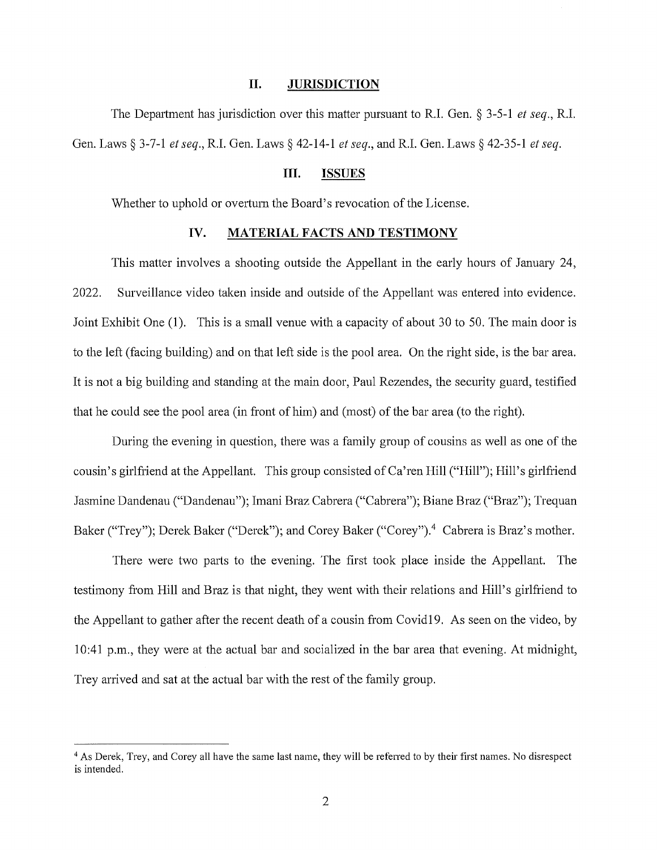### **II. JURISDICTION**

The Department has jurisdiction over this matter pursuant to R.I. Gen. § 3-5-1 *et seq.,* R.I. Gen. Laws§ 3-7-1 *et seq.,* R.I. Gen. Laws§ 42-14-1 *et seq.,* and R.I. Gen. Laws§ 42-35-1 *et seq.* 

# **III. ISSUES**

Whether to uphold or overturn the Board's revocation of the License.

## **IV. MATERIAL FACTS AND TESTIMONY**

This matter involves a shooting outside the Appellant in the early hours of January 24, 2022. Surveillance video taken inside and outside of the Appellant was entered into evidence. Joint Exhibit One (1). This is a small venue with a capacity of about 30 to 50. The main door is to the left (facing building) and on that left side is the pool area. On the right side, is the bar area. It is not a big building and standing at the main door, Paul Rezendes, the security guard, testified that he could see the pool area (in front of him) and (most) of the bar area (to the right).

During the evening in question, there was a family group of cousins as well as one of the cousin's girlfriend at the Appellant. This group consisted of Ca'ren Hill ("Hill"); Hill's girlfriend Jasmine Dandenau ("Dandenau"); Imani Braz Cabrera ("Cabrera"); Biane Braz ("Braz"); Trequan Baker ("Trey"); Derek Baker ("Derek"); and Corey Baker ("Corey").<sup>4</sup> Cabrera is Braz's mother.

There were two parts to the evening. The first took place inside the Appellant. The testimony from Hill and Braz is that night, they went with their relations and Hill's girlfriend to the Appellant to gather after the recent death of a cousin from Covidl 9. As seen on the video, by 10:41 p.m., they were at the actual bar and socialized in the bar area that evening. At midnight, Trey arrived and sat at the actual bar with the rest of the family group.

<sup>&</sup>lt;sup>4</sup> As Derek, Trey, and Corey all have the same last name, they will be referred to by their first names. No disrespect is intended.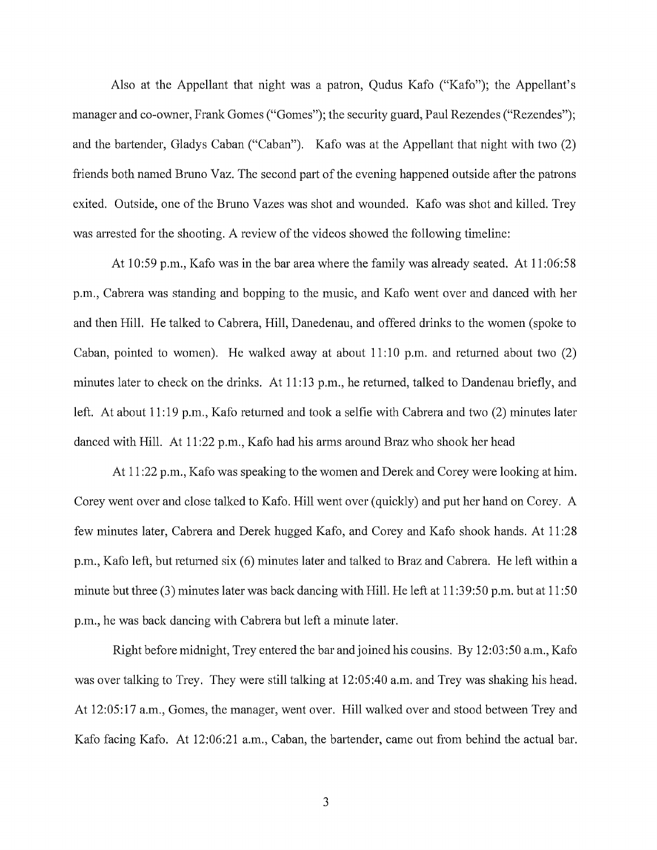Also at the Appellant that night was a patron, Qudus Kafo ("Kafo"); the Appellant's manager and co-owner, Frank Gomes ("Gomes"); the security guard, Paul Rezendes ("Rezendes"); and the bartender, Gladys Caban ("Caban"). Kafo was at the Appellant that night with two (2) friends both named Bruno Vaz. The second part of the evening happened outside after the patrons exited. Outside, one of the Bruno Vazes was shot and wounded. Kafo was shot and killed. Trey was arrested for the shooting. A review of the videos showed the following timeline:

At 10:59 p.m., Kafo was in the bar area where the family was already seated. At 11 :06:58 p.m., Cabrera was standing and bopping to the music, and Kafo went over and danced with her and then Hill. He talked to Cabrera, Hill, Danedenau, and offered drinks to the women (spoke to Caban, pointed to women). He walked away at about 11:10 p.m. and returned about two (2) minutes later to check on the drinks. At 11:13 p.m., he returned, talked to Dandenau briefly, and left. At about 11:19 p.m., Kafo returned and took a selfie with Cabrera and two (2) minutes later danced with Hill. At 11:22 p.m., Kafo had his arms around Braz who shook her head

At 11 :22 p.m., Kafo was speaking to the women and Derek and Corey were looking at him. Corey went over and close talked to Kafo. Hill went over (quickly) and put her hand on Corey. A few minutes later, Cabrera and Derek hugged Kafo, and Corey and Kafo shook hands. At 11 :28 p.m., Kafo left, but returned six (6) minutes later and talked to Braz and Cabrera. He left within a minute but three (3) minutes later was back dancing with Hill. He left at 11 :39:50 p.m. but at 11 :50 p.m., he was back dancing with Cabrera but left a minute later.

Right before midnight, Trey entered the bar and joined his cousins. By 12:03:50 a.m., Kafo was over talking to Trey. They were still talking at 12:05:40 a.m. and Trey was shaking his head. At 12:05: 17 a.m., Gomes, the manager, went over. Hill walked over and stood between Trey and Kafo facing Kafo. At 12:06:21 a.m., Caban, the bartender, came out from behind the actual bar.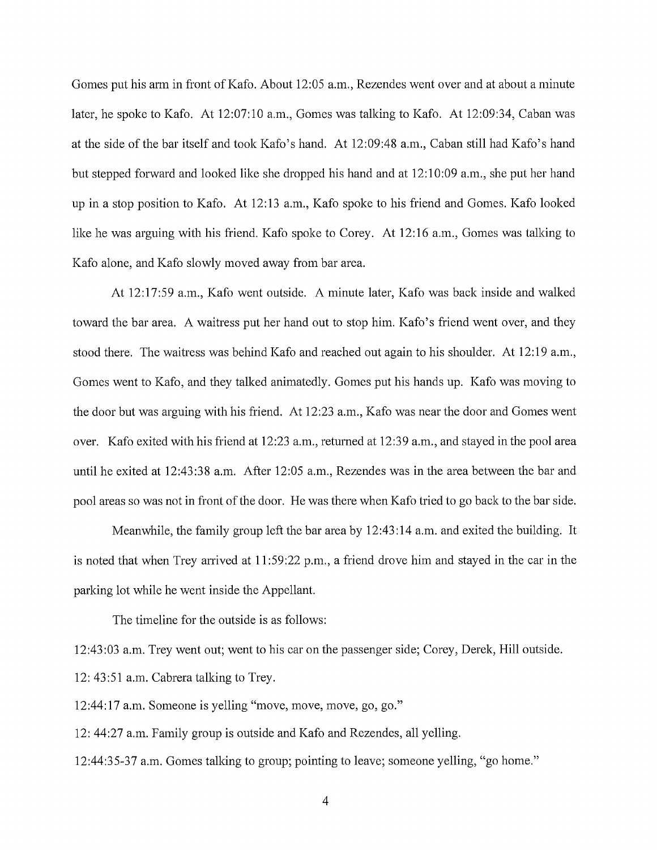Gomes put his arm in front of Kafo. About 12:05 a.m., Rezendes went over and at about a minute later, he spoke to Kafo. At 12:07:10 a.m., Gomes was talking to Kafo. At 12:09:34, Caban was at the side of the bar itself and took Kafo's hand. At 12:09:48 a.m., Caban still had Kafo's hand but stepped forward and looked like she dropped his hand and at 12: 10:09 a.m., she put her hand up in a stop position to Kafo. At 12:13 a.m., Kafo spoke to his friend and Gomes. Kafo looked like he was arguing with his friend. Kafo spoke to Corey. At 12:16 a.m., Gomes was talking to Kafo alone, and Kafo slowly moved away from bar area.

At 12:17:59 a.m., Kafo went outside. A minute later, Kafo was back inside and walked toward the bar area. A waitress put her hand out to stop him. Kafo's friend went over, and they stood there. The waitress was behind Kafo and reached out again to his shoulder. At 12:19 a.m., Gomes went to Kafo, and they talked animatedly. Gomes put his hands up. Kafo was moving to the door but was arguing with his friend. At 12:23 a.m., Kafo was near the door and Gomes went over. Kafo exited with his friend at 12:23 a.m., returned at 12:39 a.m., and stayed in the pool area until he exited at 12:43:38 a.m. After 12:05 a.m., Rezendes was in the area between the bar and pool areas so was not in front of the door. He was there when Kafo tried to go back to the bar side.

Meanwhile, the family group left the bar area by 12:43:14 a.m. and exited the building. It is noted that when Trey arrived at 11:59:22 p.m., a friend drove him and stayed in the car in the parking lot while he went inside the Appellant.

The timeline for the outside is as follows:

12:43:03 a.m. Trey went out; went to his car on the passenger side; Corey, Derek, Hill outside. 12: 43:51 a.m. Cabrera talking to Trey.

12:44: 17 a.m. Someone is yelling "move, move, move, go, go."

12: 44:27 a.m. Family group is outside and Kafo and Rezendes, all yelling.

12:44:35-37 a.m. Gomes talking to group; pointing to leave; someone yelling, "go home."

4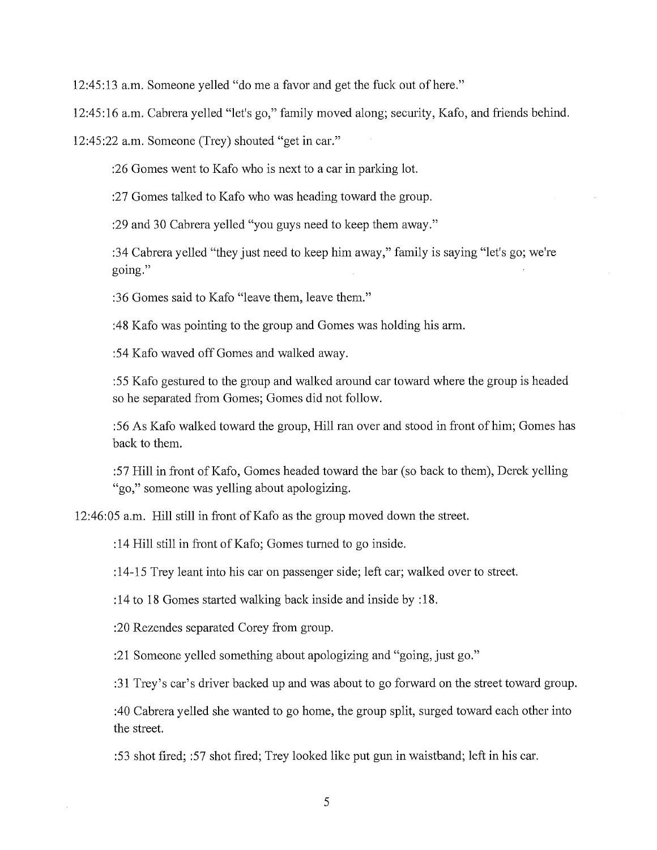12:45:13 a.m. Someone yelled "do me a favor and get the fuck out of here."

12:45:16 a.m. Cabrera yelled "let's go," family moved along; security, Kafo, and friends behind.

12:45:22 a.m. Someone (Trey) shouted "get in car."

:26 Gomes went to Kafo who is next to a car in parking lot.

:27 Gomes talked to Kafo who was heading toward the group.

:29 and 30 Cabrera yelled "you guys need to keep them away."

:34 Cabrera yelled "they just need to keep him away," family is saying "let's go; we're going."

:36 Gomes said to Kafo "leave them, leave them."

:48 Kafo was pointing to the group and Gomes was holding his arm.

:54 Kafo waved off Gomes and walked away.

: 5 5 Kafo gestured to the group and walked around car toward where the group is headed so he separated from Gomes; Gomes did not follow.

:56 As Kafo walked toward the group, Hill ran over and stood in front of him; Gomes has back to them.

:57 Hill in front of Kafo, Gomes headed toward the bar (so back to them), Derek yelling "go," someone was yelling about apologizing.

12:46:05 a.m. Hill still in front of Kafo as the group moved down the street.

: 14 Hill still in front of Kafo; Gomes turned to go inside.

: 14-15 Trey leant into his car on passenger side; left car; walked over to street.

: 14 to 18 Gomes started walking back inside and inside by : 18.

:20 Rezendes separated Corey from group.

:21 Someone yelled something about apologizing and "going, just go."

:31 Trey's car's driver backed up and was about to go forward on the street toward group.

:40 Cabrera yelled she wanted to go home, the group split, surged toward each other into the street.

:53 shot fired; :57 shot fired; Trey looked like put gun in waistband; left in his car.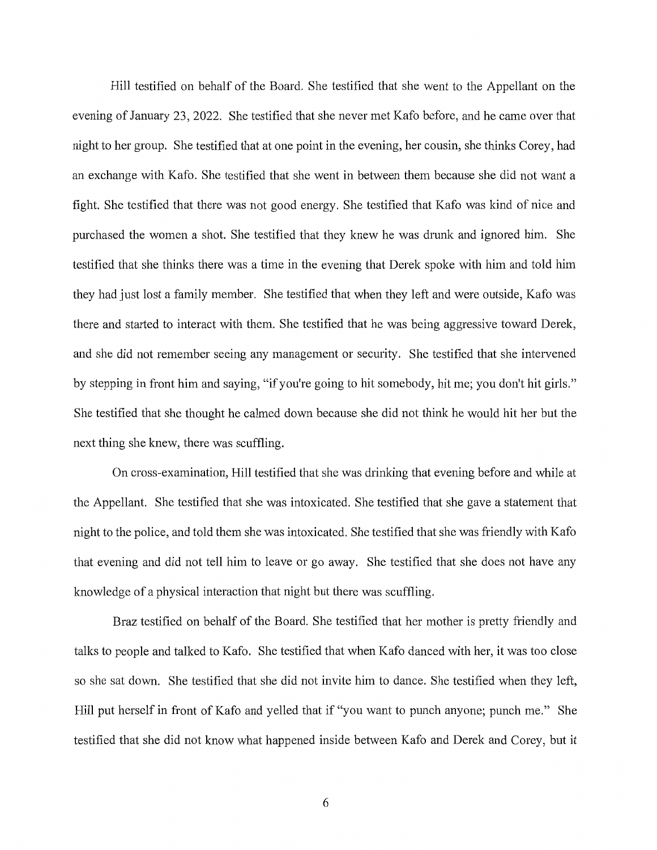Hill testified on behalf of the Board. She testified that she went to the Appellant on the evening of January 23, 2022. She testified that she never met Kafo before, and he came over that night to her group. She testified that at one point in the evening, her cousin, she thinks Corey, had an exchange with Kafo. She testified that she went in between them because she did not want a fight. She testified that there was not good energy. She testified that Kafo was kind of nice and purchased the women a shot. She testified that they knew he was drunk and ignored him. She testified that she thinks there was a time in the evening that Derek spoke with him and told him they had just lost a family member. She testified that when they left and were outside, Kafo was there and started to interact with them. She testified that he was being aggressive toward Derek, and she did not remember seeing any management or security. She testified that she intervened by stepping in front him and saying, "if you're going to hit somebody, hit me; you don't hit girls." She testified that she thought he calmed down because she did not think he would hit her but the next thing she knew, there was scuffling.

On cross-examination, Hill testified that she was drinking that evening before and while at the Appellant. She testified that she was intoxicated. She testified that she gave a statement that night to the police, and told them she was intoxicated. She testified that she was friendly with Kafo that evening and did not tell him to leave or go away. She testified that she does not have any knowledge of a physical interaction that night but there was scuffling.

Braz testified on behalf of the Board. She testified that her mother is pretty friendly and talks to people and talked to Kafo. She testified that when Kafo danced with her, it was too close so she sat down. She testified that she did not invite him to dance. She testified when they left, Hill put herself in front of Kafo and yelled that if "you want to punch anyone; punch me." She testified that she did not know what happened inside between Kafo and Derek and Corey, but it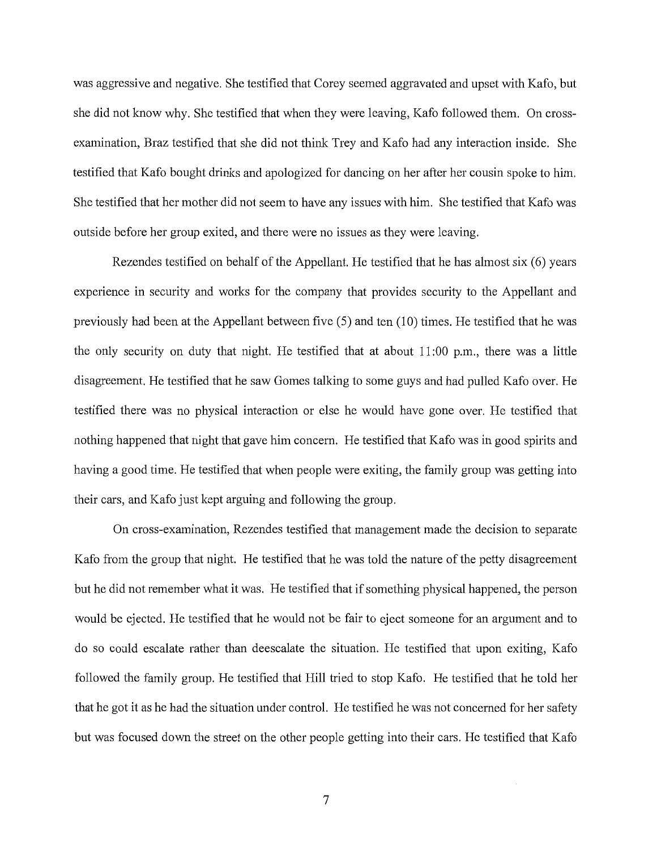was aggressive and negative. She testified that Corey seemed aggravated and upset with Kafo, but she did not know why. She testified that when they were leaving, Kafo followed them. On crossexamination, Braz testified that she did not think Trey and Kafo had any interaction inside. She testified that Kafo bought drinks and apologized for dancing on her after her cousin spoke to him. She testified that her mother did not seem to have any issues with him. She testified that Kafo was outside before her group exited, and there were no issues as they were leaving.

Rezendes testified on behalf of the Appellant. He testified that he has almost six (6) years experience in security and works for the company that provides security to the Appellant and previously had been at the Appellant between five (5) and ten (10) times. He testified that he was the only security on duty that night. He testified that at about 11 :00 p.m., there was a little disagreement. He testified that he saw Gomes talking to some guys and had pulled Kafo over. He testified there was no physical interaction or else he would have gone over. He testified that nothing happened that night that gave him concern. He testified that Kafo was in good spirits and having a good time. He testified that when people were exiting, the family group was getting into their cars, and Kafo just kept arguing and following the group.

On cross-examination, Rezendes testified that management made the decision to separate Kafo from the group that night. He testified that he was told the nature of the petty disagreement but he did not remember what it was. He testified that if something physical happened, the person would be ejected. He testified that he would not be fair to eject someone for an argument and to do so could escalate rather than deescalate the situation. He testified that upon exiting, Kafo followed the family group. He testified that Hill tried to stop Kafo. He testified that he told her that he got it as he had the situation under control. He testified he was not concerned for her safety but was focused down the street on the other people getting into their cars. He testified that Kafo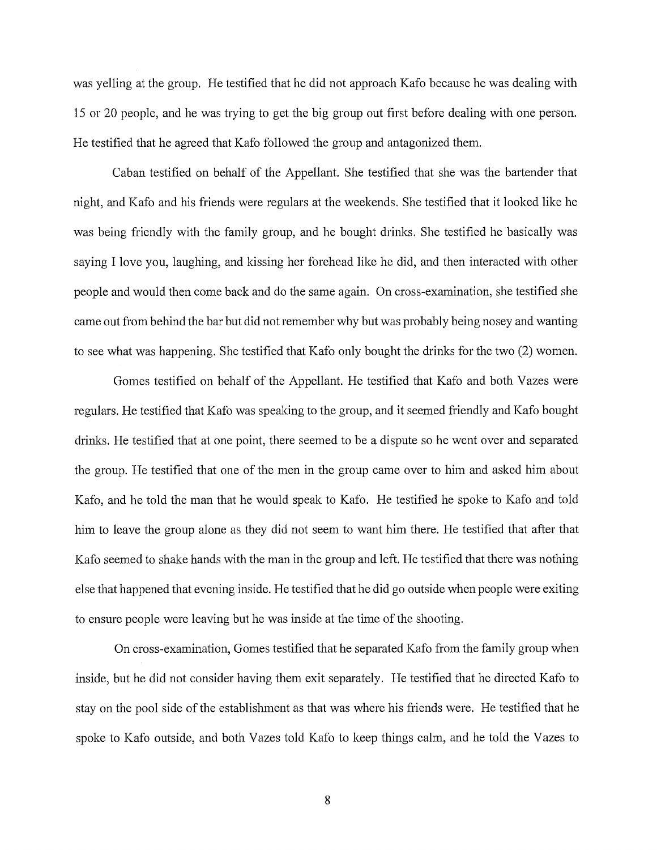was yelling at the group. He testified that he did not approach Kafo because he was dealing with 15 or 20 people, and he was trying to get the big group out first before dealing with one person. He testified that he agreed that Kafo followed the group and antagonized them.

Caban testified on behalf of the Appellant. She testified that she was the bartender that night, and Kafo and his friends were regulars at the weekends. She testified that it looked like he was being friendly with the family group, and he bought drinks. She testified he basically was saying I love you, laughing, and kissing her forehead like he did, and then interacted with other people and would then come back and do the same again. On cross-examination, she testified she came out from behind the bar but did not remember why but was probably being nosey and wanting to see what was happening. She testified that Kafo only bought the drinks for the two (2) women.

Gomes testified on behalf of the Appellant. He testified that Kafo and both Vazes were regulars. He testified that Kafo was speaking to the group, and it seemed friendly and Kafo bought drinks. He testified that at one point, there seemed to be a dispute so he went over and separated the group. He testified that one of the men in the group came over to him and asked him about Kafo, and he told the man that he would speak to Kafo. He testified he spoke to Kafo and told him to leave the group alone as they did not seem to want him there. He testified that after that Kafo seemed to shake hands with the man in the group and left. He testified that there was nothing else that happened that evening inside. He testified that he did go outside when people were exiting to ensure people were leaving but he was inside at the time of the shooting.

On cross-examination, Gomes testified that he separated Kafo from the family group when inside, but he did not consider having them exit separately. He testified that he directed Kafo to stay on the pool side of the establishment as that was where his friends were. He testified that he spoke to Kafo outside, and both Vazes told Kafo to keep things calm, and he told the Vazes to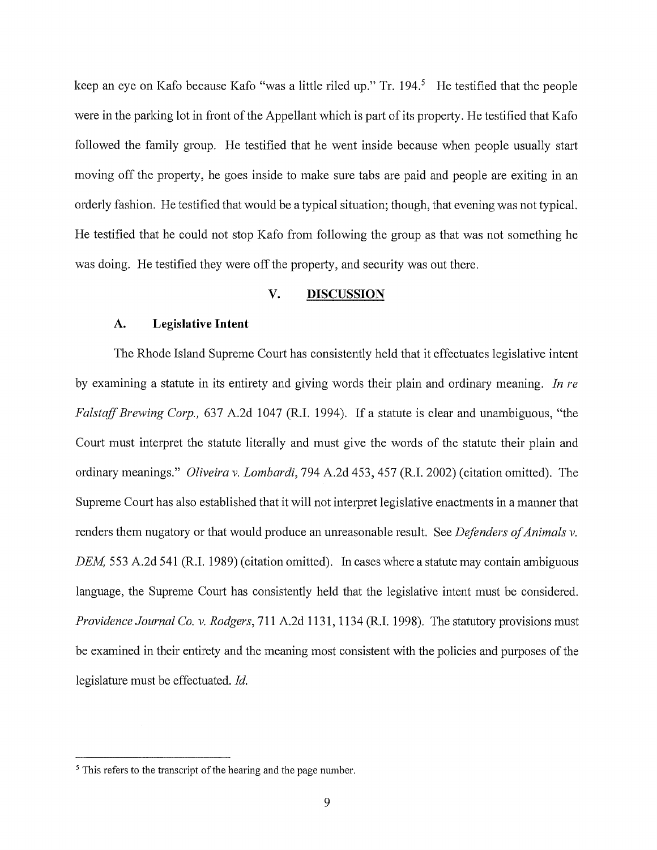keep an eye on Kafo because Kafo "was a little riled up." Tr. 194.<sup>5</sup> He testified that the people were in the parking lot in front of the Appellant which is part of its property. He testified that Kafo followed the family group. He testified that he went inside because when people usually start moving off the property, he goes inside to make sure tabs are paid and people are exiting in an orderly fashion. He testified that would be a typical situation; though, that evening was not typical. He testified that he could not stop Kafo from following the group as that was not something he was doing. He testified they were off the property, and security was out there.

## **V. DISCUSSION**

## **A. Legislative Intent**

The Rhode Island Supreme Court has consistently held that it effectuates legislative intent by examining a statute in its entirety and giving words their plain and ordinary meaning. *In re Falstaff Brewing Corp.,* 637 A.2d 1047 (R.I. 1994). If a statute is clear and unambiguous, "the Court must interpret the statute literally and must give the words of the statute their plain and ordinary meanings." *Oliveira v. Lombardi,* 794 A.2d 453,457 (R.I. 2002) (citation omitted). The Supreme Court has also established that it will not interpret legislative enactments in a manner that renders them nugatory or that would produce an unreasonable result. See *Defenders of Animals v. DEM*, 553 A.2d 541 (R.I. 1989) (citation omitted). In cases where a statute may contain ambiguous language, the Supreme Court has consistently held that the legislative intent must be considered. *Providence Journal Co. v. Rodgers,* 711 A.2d 1131, 1134 (R.I. 1998). The statutory provisions must be examined in their entirety and the meaning most consistent with the policies and purposes of the legislature must be effectuated. *Id.* 

<sup>&</sup>lt;sup>5</sup> This refers to the transcript of the hearing and the page number.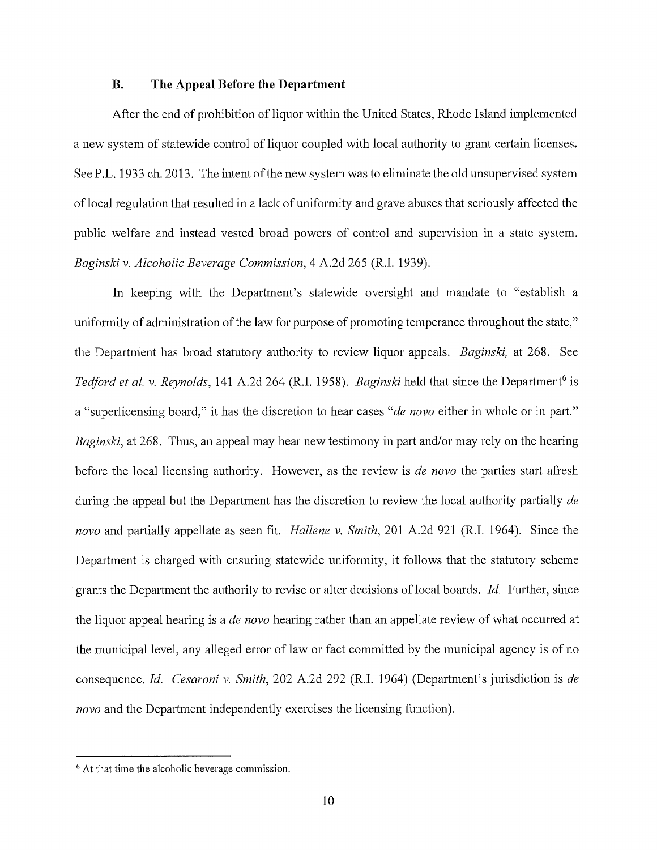## **B. The Appeal Before the Department**

After the end of prohibition of liquor within the United States, Rhode Island implemented a new system of statewide control of liquor coupled with local authority to grant certain licenses. See P.L. 1933 ch. 2013. The intent of the new system was to eliminate the old unsupervised system of local regulation that resulted in a lack of uniformity and grave abuses that seriously affected the public welfare and instead vested broad powers of control and supervision in a state system. *Baginski v. Alcoholic Beverage Commission,* 4 A.2d 265 (R.I. 1939).

In keeping with the Department's statewide oversight and mandate to "establish a uniformity of administration of the law for purpose of promoting temperance throughout the state," the Department has broad statutory authority to review liquor appeals. *Baginski*, at 268. See *Tedford et al. v. Reynolds,* 141 A.2d 264 (R.I. 1958). *Baginski* held that since the Department<sup>6</sup> is a "superlicensing board," it has the discretion to hear cases "*de novo* either in whole or in part." *Baginski,* at 268. Thus, an appeal may hear new testimony in part and/or may rely on the hearing before the local licensing authority. However, as the review is *de novo* the parties start afresh during the appeal but the Department has the discretion to review the local authority partially *de nova* and partially appellate as seen fit. *Hallene v. Smith,* 201 A.2d 921 (R.I. 1964). Since the Department is charged with ensuring statewide uniformity, it follows that the statutory scheme grants the Department the authority to revise or alter decisions of local boards. *Id.* Further, since the liquor appeal hearing is a *de nova* hearing rather than an appellate review of what occurred at the municipal level, any alleged error of law or fact committed by the municipal agency is of no consequence. *Id. Cesaroni v. Smith*, 202 A.2d 292 (R.I. 1964) (Department's jurisdiction is *de nova* and the Department independently exercises the licensing function).

<sup>6</sup>At that time the alcoholic beverage commission.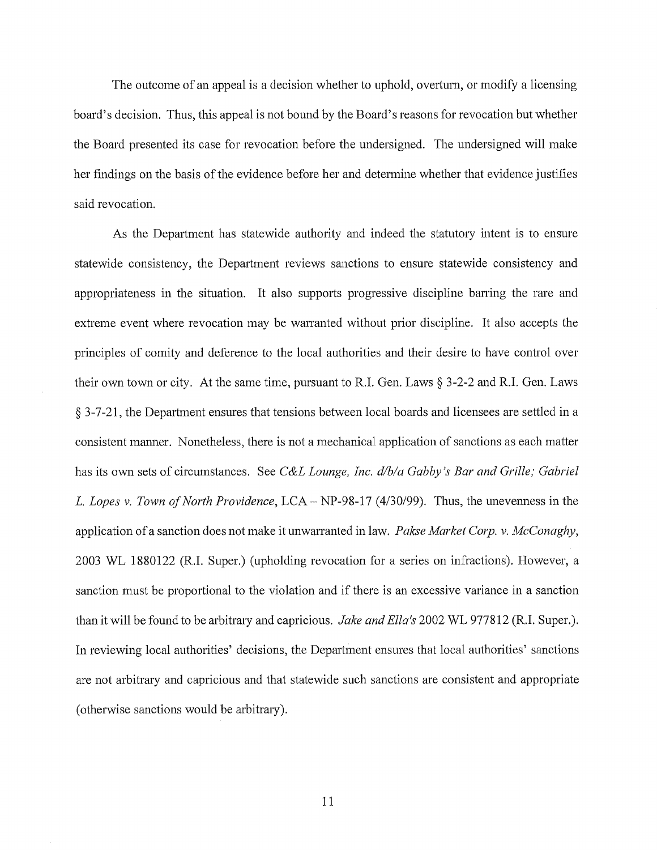The outcome of an appeal is a decision whether to uphold, overturn, or modify a licensing board's decision. Thus, this appeal is not bound by the Board's reasons for revocation but whether the Board presented its case for revocation before the undersigned. The undersigned will make her findings on the basis of the evidence before her and determine whether that evidence justifies said revocation.

As the Department has statewide authority and indeed the statutory intent is to ensure statewide consistency, the Department reviews sanctions to ensure statewide consistency and appropriateness in the situation. It also supports progressive discipline barring the rare and extreme event where revocation may be wananted without prior discipline. It also accepts the principles of comity and deference to the local authorities and their desire to have control over their own town or city. At the same time, pursuant to R.I. Gen. Laws  $\S 3-2-2$  and R.I. Gen. Laws § 3-7-21, the Department ensures that tensions between local boards and licensees are settled in a consistent maimer. Nonetheless, there is not a mechanical application of sanctions as each matter has its own sets of circumstances. See *C&L Lounge, Inc. d/b/a Gabby's Bar and Grille; Gabriel*  L. Lopes v. Town of North Providence, LCA - NP-98-17 (4/30/99). Thus, the unevenness in the application of a sanction does not make it unwarranted in law. *Pakse Market Corp. v. McConaghy,*  2003 WL 1880122 (R.I. Super.) (upholding revocation for a series on infractions). However, a sanction must be proportional to the violation and if there is an excessive variance in a sanction than it will be found to be arbitrary and capricious. *Jake and Ella's* 2002 WL 977812 (R.I. Super.). In reviewing local authorities' decisions, the Department ensures that local authorities' sanctions are not arbitrary and capricious and that statewide such sanctions are consistent and appropriate (otherwise sanctions would be arbitrary).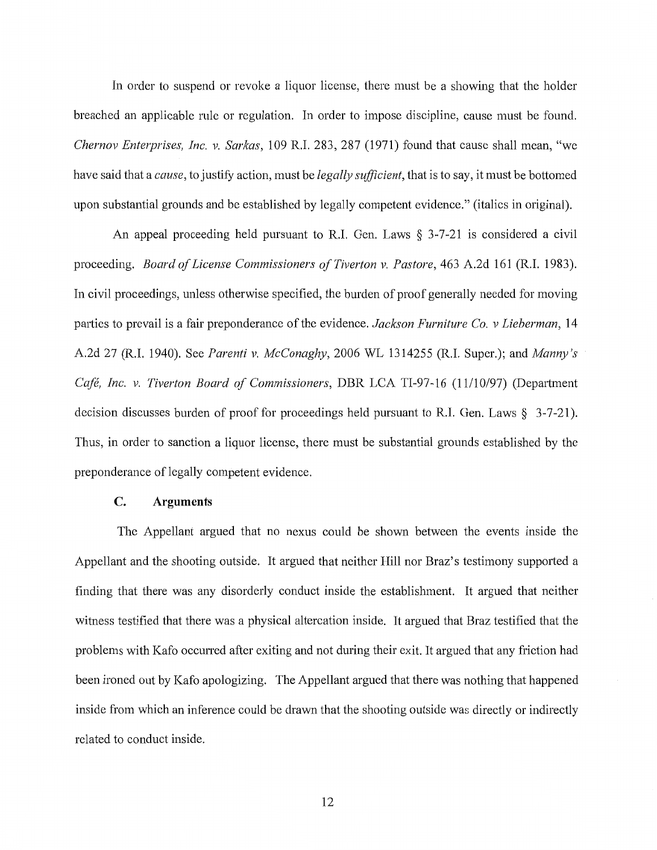In order to suspend or revoke a liquor license, there must be a showing that the holder breached an applicable rule or regulation. In order to impose discipline, cause must be found. *Chernov Enterprises, Inc. v. Sarkas,* 109 R.I. 283, 287 (1971) found that cause shall mean, "we have said that a *cause,* to justify action, must be *legally sufficient,* that is to say, it must be bottomed upon substantial grounds and be established by legally competent evidence." (italics in original).

An appeal proceeding held pursuant to R.I. Gen. Laws § 3-7-21 is considered a civil proceeding. *Board of License Commissioners of Tiverton v. Pastore,* 463 A.2d 161 (R.I. 1983). In civil proceedings, unless otherwise specified, the burden of proof generally needed for moving parties to prevail is a fair preponderance of the evidence. *Jackson Furniture Co. v Lieberman*, 14 A.2d 27 (R.I. 1940). See *Parenti v. McConaghy,* 2006 WL 1314255 (R.I. Super.); and *Manny's*  Café, Inc. v. Tiverton Board of Commissioners, DBR LCA TI-97-16 (11/10/97) (Department decision discusses burden of proof for proceedings held pursuant to R.I. Gen. Laws  $\S$  3-7-21). Thus, in order to sanction a liquor license, there must be substantial grounds established by the preponderance of legally competent evidence.

# **C. Arguments**

The Appellant argued that no nexus could be shown between the events inside the Appellant and the shooting outside. It argued that neither Hill nor Braz's testimony supported a finding that there was any disorderly conduct inside the establishment. It argued that neither witness testified that there was a physical altercation inside. It argued that Braz testified that the problems with Kafo occurred after exiting and not during their exit. It argued that any friction had been ironed out by Kafo apologizing. The Appellant argued that there was nothing that happened inside from which an inference could be drawn that the shooting outside was directly or indirectly related to conduct inside.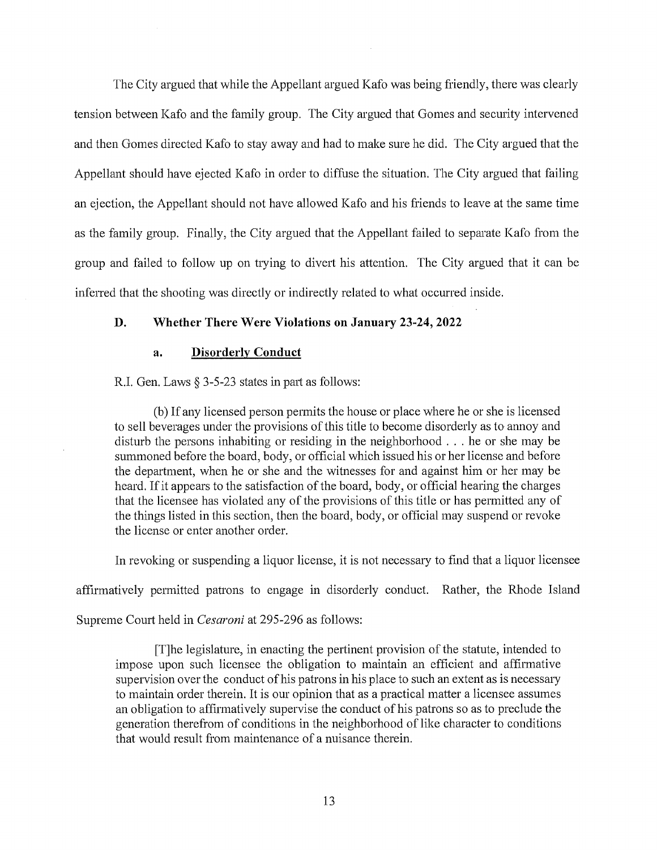The City argued that while the Appellant argued Kafo was being friendly, there was clearly tension between Kafo and the family group. The City argued that Gomes and security intervened and then Gomes directed Kafo to stay away and had to make sure he did. The City argued that the Appellant should have ejected Kafo in order to diffuse the situation. The City argued that failing an ejection, the Appellant should not have allowed Kafo and his friends to leave at the same time as the family group. Finally, the City argued that the Appellant failed to separate Kafo from the group and failed to follow up on trying to divert his attention. The City argued that it can be inferred that the shooting was directly or indirectly related to what occurred inside.

## **D. Whether There Were Violations on January 23-24, 2022**

### **a. Disorderly Conduct**

R.I. Gen. Laws § 3-5-23 states in part as follows:

(b) If any licensed person permits the house or place where he or she is licensed to sell beverages under the provisions of this title to become disorderly as to annoy and disturb the persons inhabiting or residing in the neighborhood . . . he or she may be summoned before the board, body, or official which issued his or her license and before the department, when he or she and the witnesses for and against him or her may be heard. If it appears to the satisfaction of the board, body, or official hearing the charges that the licensee has violated any of the provisions of this title or has permitted any of the things listed in this section, then the board, body, or official may suspend or revoke the license or enter another order.

In revoking or suspending a liquor license, it is not necessary to find that a liquor licensee

affirmatively permitted patrons to engage in disorderly conduct. Rather, the Rhode Island

Supreme Court held in *Cesaroni* at 295-296 as follows:

[T]he legislature, in enacting the pertinent provision of the statute, intended to impose upon such licensee the obligation to maintain an efficient and affirmative supervision over the conduct of his patrons in his place to such an extent as is necessary to maintain order therein. It is our opinion that as a practical matter a licensee assumes an obligation to affirmatively supervise the conduct of his patrons so as to preclude the generation therefrom of conditions in the neighborhood of like character to conditions that would result from maintenance of a nuisance therein.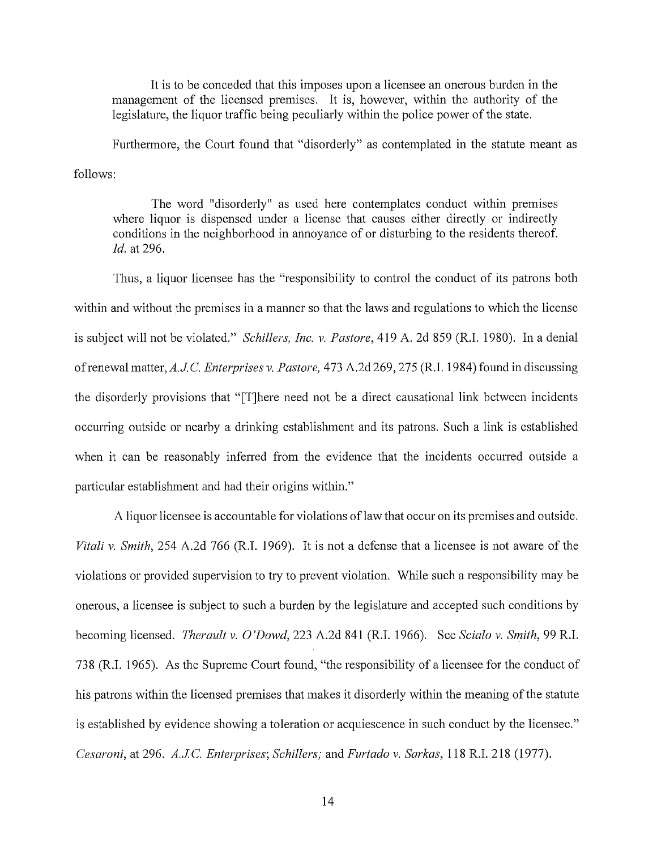It is to be conceded that this imposes upon a licensee an onerous burden in the management of the licensed premises. It is, however, within the authority of the legislature, the liquor traffic being peculiarly within the police power of the state.

Furthermore, the Court found that "disorderly" as contemplated in the statute meant as follows:

The word "disorderly" as used here contemplates conduct within premises where liquor is dispensed under a license that causes either directly or indirectly conditions in the neighborhood in annoyance of or disturbing to the residents thereof. *Id.* at 296.

Thus, a liquor licensee has the "responsibility to control the conduct of its patrons both within and without the premises in a manner so that the laws and regulations to which the license is subject will not be violated." *Schillers, Inc. v. Pastore,* 419 A. 2d 859 (R.I. 1980). In a denial of renewal matter, A.J.C. Enterprises v. Pastore, 473 A.2d 269, 275 (R.I. 1984) found in discussing the disorderly provisions that "[T]here need not be a direct causational link between incidents occurring outside or nearby a drinking establishment and its patrons. Such a link is established when it can be reasonably inferred from the evidence that the incidents occurred outside a particular establishment and had their origins within."

A liquor licensee is accountable for violations of law that occur on its premises and outside. *Vitali v. Smith,* 254 A.2d 766 (R.I. 1969). It is not a defense that a licensee is not aware of the violations or provided supervision to try to prevent violation. While such a responsibility may be onerous, a licensee is subject to such a burden by the legislature and accepted such conditions by becoming licensed. *Therault v.* 0 *'Dowd,* 223 A.2d 841 (R.I. 1966). See *Scialo v. Smith,* 99 R.I. 738 (R.I. 1965). As the Supreme Court found, "the responsibility of a licensee for the conduct of his patrons within the licensed premises that makes it disorderly within the meaning of the statute is established by evidence showing a toleration or acquiescence in such conduct by the licensee." *Cesaroni, at 296. A.J.C. Enterprises; Schillers; and <i>Furtado v. Sarkas, 118 R.I. 218 (1977).*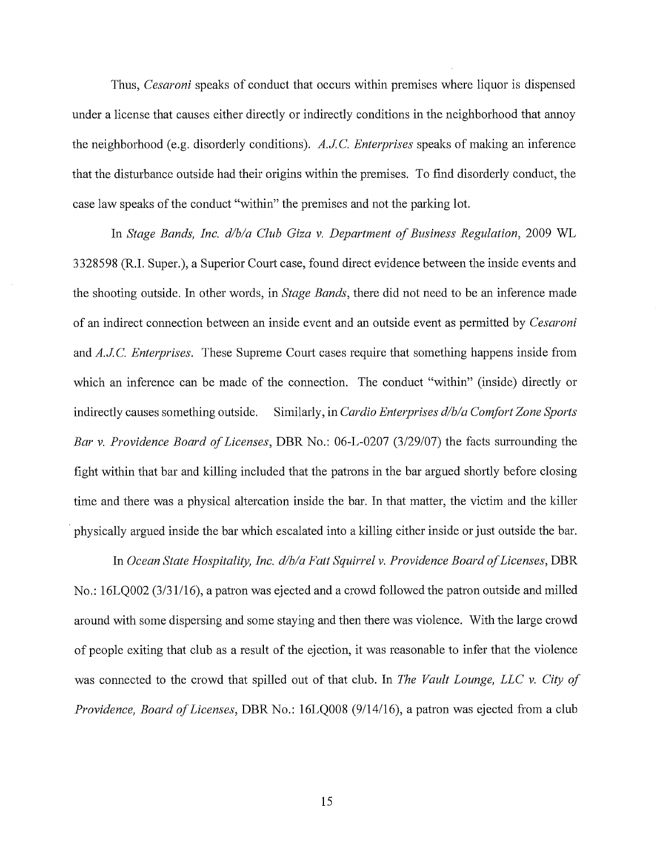Thus, *Cesaroni* speaks of conduct that occurs within premises where liquor is dispensed under a license that causes either directly or indirectly conditions in the neighborhood that annoy the neighborhood (e.g. disorderly conditions). *A.JC Enterprises* speaks of making an inference that the disturbance outside had their origins within the premises. To find disorderly conduct, the case law speaks of the conduct "within" the premises and not the parking lot.

In *Stage Bands, Inc. d/b/a Club Giza v. Department of Business Regulation,* 2009 WL 3328598 (R.I. Super.), a Superior Court case, found direct evidence between the inside events and the shooting outside. In other words, in *Stage Bands,* there did not need to be an inference made of an indirect connection between an inside event and an outside event as permitted by *Cesaroni*  and *A.JC. Enterprises.* These Supreme Court cases require that something happens inside from which an inference can be made of the connection. The conduct "within" (inside) directly or indirectly causes something outside. Similarly, in *Cardio Enterprises d/b/a Comfort Zone Sports Bar v. Providence Board of Licenses,* DBR No.: 06-L-0207 (3/29/07) the facts surrounding the fight within that bar and killing included that the patrons in the bar argued shortly before closing time and there was a physical altercation inside the bar. In that matter, the victim and the killer · physically argued inside the bar which escalated into a killing either inside or just outside the bar.

In *Ocean State Hospitality, Inc. d/b/a Fatt Squirrel v. Providence Board of Licenses,* DBR No.: 16LQ002 (3/31/16), a patron was ejected and a crowd followed the patron outside and milled around with some dispersing and some staying and then there was violence. With the large crowd of people exiting that club as a result of the ejection, it was reasonable to infer that the violence was connected to the crowd that spilled out of that club. In *The Vault Lounge, LLC v. City of Providence, Board of Licenses,* DBR No.: 16LQ008 (9/14/16), a patron was ejected from a club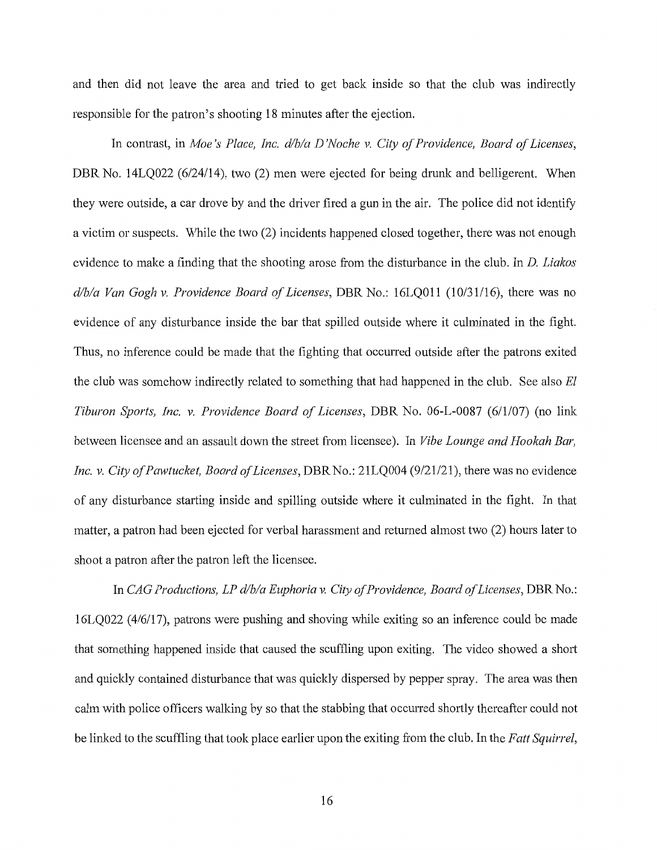and then did not leave the area and tried to get back inside so that the club was indirectly responsible for the patron's shooting 18 minutes after the ejection.

In contrast, in *Moe's Place, Inc. d/b/a D'Noche v. City of Providence, Board of Licenses*, DBR No. 14LO022 (6/24/14), two (2) men were ejected for being drunk and belligerent. When they were outside, a car drove by and the driver fired a gun in the air. The police did not identify a victim or suspects. While the two (2) incidents happened closed together, there was not enough evidence to make a finding that the shooting arose from the disturbance in the club. In D. *Liakos d/bla Van Gogh v. Providence Board of Licenses,* DBR No.: 16LQ011 (10/31/16), there was no evidence of any disturbance inside the bar that spilled outside where it culminated in the fight. Thus, no inference could be made that the fighting that occuned outside after the patrons exited the club was somehow indirectly related to something that had happened in the club. See also *El Tiburon Sports, Inc. v. Providence Board of Licenses,* DBR No. 06-L-0087 (6/1/07) (no link between licensee and an assault down the street from licensee). In *Vibe Lounge and Hookah Bar,*  Inc. v. City of Pawtucket, Board of Licenses, DBR No.: 21LQ004 (9/21/21), there was no evidence of any disturbance starting inside and spilling outside where it culminated in the fight. In that matter, a patron had been ejected for verbal harassment and returned almost two (2) hours later to shoot a patron after the patron left the licensee.

In *CAG Productions, LP d/b/a Euphoria v. City of Providence, Board of Licenses, DBR No.:* 16LQ022 (4/6/17), patrons were pushing and shoving while exiting so an inference could be made that something happened inside that caused the scuffling upon exiting. The video showed a short and quickly contained disturbance that was quickly dispersed by pepper spray. The area was then calm with police officers walking by so that the stabbing that occurred shortly thereafter could not be linked to the scuffling that took place earlier upon the exiting from the club. In the *Fatt Squirrel,*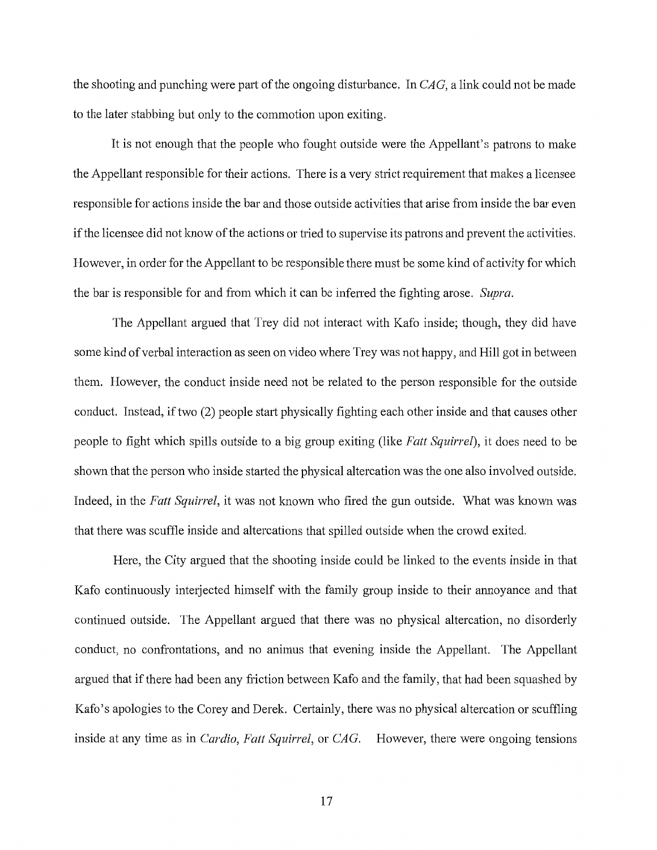the shooting and punching were part of the ongoing disturbance. In *CAG,* a link could not be made to the later stabbing but only to the commotion upon exiting.

It is not enough that the people who fought outside were the Appellant's patrons to make the Appellant responsible for their actions. There is a very strict requirement that makes a licensee responsible for actions inside the bar and those outside activities that arise from inside the bar even if the licensee did not know of the actions or tried to supervise its patrons and prevent the activities. However, in order for the Appellant to be responsible there must be some kind of activity for which the bar is responsible for and from which it can be inferred the fighting arose. *Supra.* 

The Appellant argued that Trey did not interact with Kafo inside; though, they did have some kind of verbal interaction as seen on video where Trey was not happy, and Hill got in between them. However, the conduct inside need not be related to the person responsible for the outside conduct. Instead, if two (2) people start physically fighting each other inside and that causes other people to fight which spills outside to a big group exiting (like *Fatt Squirrd),* it does need to be shown that the person who inside started the physical altercation was the one also involved outside. Indeed, in the *Fatt Squirrel,* it was not known who fired the gun outside. What was known was that there was scuffle inside and altercations that spilled outside when the crowd exited.

Here, the City argued that the shooting inside could be linked to the events inside in that Kafo continuously interjected himself with the family group inside to their annoyance and that continued outside. The Appellant argued that there was no physical altercation, no disorderly conduct, no confrontations, and no animus that evening inside the Appellant. The Appellant argued that if there had been any friction between Kafo and the family, that had been squashed by Kafo's apologies to the Corey and Derek. Certainly, there was no physical altercation or scuffling inside at any time as in *Cardio, Fatt Squirrel,* or *CAG.* However, there were ongoing tensions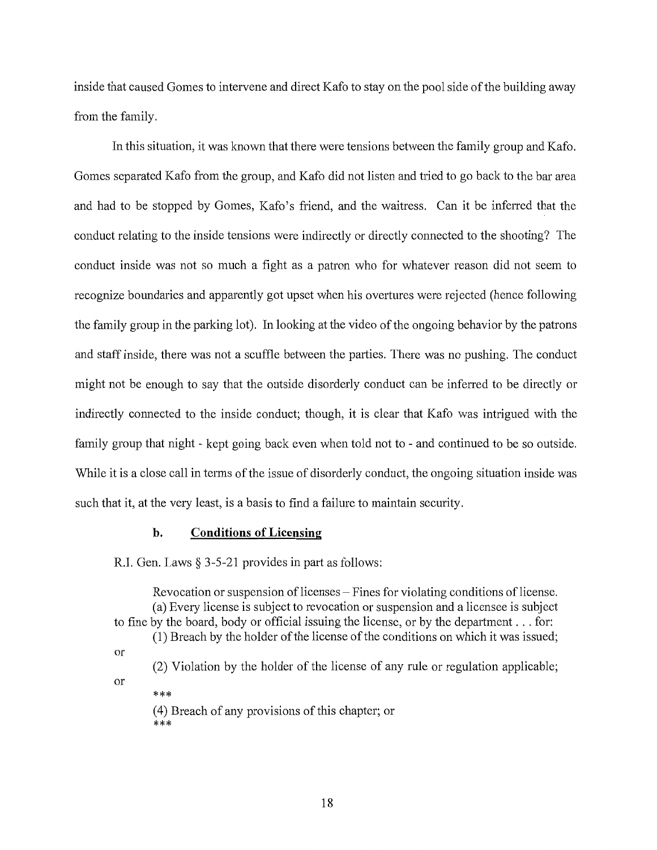inside that caused Gomes to intervene and direct Kafo to stay on the pool side of the building away from the family.

In this situation, it was known that there were tensions between the family group and Kafo. Gomes separated Kafo from the group, and Kafo did not listen and tried to go back to the bar area and had to be stopped by Gomes, Kafo's friend, and the waitress. Can it be inferred that the conduct relating to the inside tensions were indirectly or directly connected to the shooting? The conduct inside was not so much a fight as a patron who for whatever reason did not seem to recognize boundaries and apparently got upset when his overtures were rejected (hence following the family group in the parking lot). In looking at the video of the ongoing behavior by the patrons and staff inside, there was not a scuffle between the parties. There was no pushing. The conduct might not be enough to say that the outside disorderly conduct can be inferred to be directly or indirectly connected to the inside conduct; though, it is clear that Kafo was intrigued with the family group that night - kept going back even when told not to - and continued to be so outside. While it is a close call in terms of the issue of disorderly conduct, the ongoing situation inside was such that it, at the very least, is a basis to find a failure to maintain security.

## **b. Conditions of Licensing**

R.I. Gen. Laws§ 3-5-21 provides in part as follows:

Revocation or suspension of licenses  $-$  Fines for violating conditions of license. (a) Every license is subject to revocation or suspension and a licensee is subject to fine by the board, body or official issuing the license, or by the department ... for: (1) Breach by the holder of the license of the conditions on which it was issued; or (2) Violation by the holder of the license of any rule or regulation applicable; or \*\*\* ( 4) Breach of any provisions of this chapter; or \*\*\*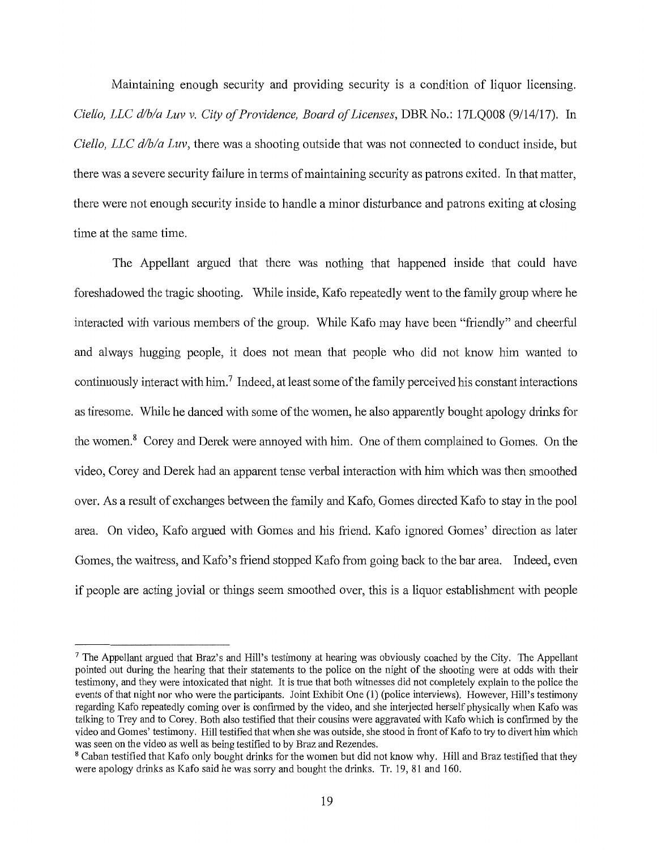Maintaining enough security and providing security is a condition of liquor licensing. *Ciello, LLC d/b/a Luv v. City of Providence, Board of Licenses,* DBR No.: 17LQ008 (9/14/17). In *Ciello, LLC d/b/a Luv,* there was a shooting outside that was not connected to conduct inside, but there was a severe security failure in terms of maintaining security as patrons exited. In that matter, there were not enough security inside to handle a minor disturbance and patrons exiting at closing time at the same time.

The Appellant argued that there was nothing that happened inside that could have foreshadowed the tragic shooting. While inside, Kafo repeatedly went to the family group where he interacted with various members of the group. While Kafo may have been "friendly" and cheerful and always hugging people, it does not mean that people who did not know him wanted to continuously interact with him.<sup>7</sup> Indeed, at least some of the family perceived his constant interactions as tiresome. While he danced with some of the women, he also apparently bought apology drinks for the women.<sup>8</sup> Corey and Derek were annoyed with him. One of them complained to Gomes. On the video, Corey and Derek had an apparent tense verbal interaction with him which was then smoothed over. As a result of exchanges between the family and Kafo, Gomes directed Kafo to stay in the pool area. On video, Kafo argued with Gomes and his friend. Kafo ignored Gomes' direction as later Gomes, the waitress, and Kafo's friend stopped Kafo from going back to the bar area. Indeed, even if people are acting jovial or things seem smoothed over, this is a liquor establishment with people

 $<sup>7</sup>$  The Appellant argued that Braz's and Hill's testimony at hearing was obviously coached by the City. The Appellant</sup> pointed out during the hearing that their statements to the police on the night of the shooting were at odds with their testimony, and they were intoxicated that night. It is true that both witnesses did not completely explain to the police the events of that night nor who were the participants. Joint Exhibit One (I) (police interviews). However, Hill's testimony regarding Kafo repeatedly coming over is confirmed by the video, and she interjected herself physically when Kafo was talking to Trey and to Corey. Both also testified that their cousins were aggravated with Kafo which is confirmed by the video and Gomes' testimony. Hill testified that when she was outside, she stood in front of Kafo to try to divert him which was seen on the video as well as being testified to by Braz and Rezendes.

<sup>&</sup>lt;sup>8</sup> Caban testified that Kafo only bought drinks for the women but did not know why. Hill and Braz testified that they were apology drinks as Kafo said he was sorry and bought the drinks. Tr. 19, 81 and 160.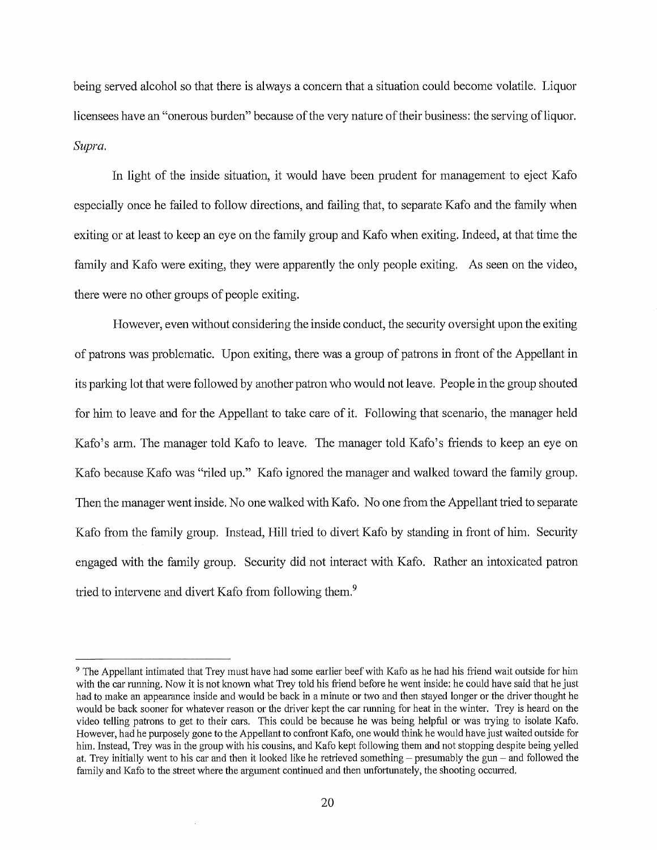being served alcohol so that there is always a concern that a situation could become volatile. Liquor licensees have an "onerous burden" because of the very nature of their business: the serving of liquor. *Supra.* 

In light of the inside situation, it would have been prndent for management to eject Kafo especially once he failed to follow directions, and failing that, to separate Kafo and the family when exiting or at least to keep an eye on the family group and Kafo when exiting. Indeed, at that time the family and Kafo were exiting, they were apparently the only people exiting. As seen on the video, there were no other groups of people exiting.

However, even without considering the inside conduct, the security oversight upon the exiting of patrons was problematic. Upon exiting, there was a group of patrons in front of the Appellant in its parking lot that were followed by another patron who would not leave. People in the group shouted for him to leave and for the Appellant to take care of it. Following that scenario, the manager held Kafo's arm. The manager told Kafo to leave. The manager told Kafo's friends to keep an eye on Kafo because Kafo was "riled up." Kafo ignored the manager and walked toward the family group. Then the manager went inside. No one walked with Kafo. No one from the Appellant tried to separate Kafo from the family group. Instead, Hill tried to divert Kafo by standing in front of him. Security engaged with the family group. Security did not interact with Kafo. Rather an intoxicated patron tried to intervene and divert Kafo from following them.<sup>9</sup>

<sup>9</sup>The Appellant intimated that Trey must have had some earlier beef with Kafo as he had his friend wait outside for him with the car running. Now it is not known what Trey told his friend before he went inside: he could have said that he just had to make an appearance inside and would be back in a minute or two and then stayed longer or the driver thought he would be back sooner for whatever reason or the driver kept the car running for heat in the winter. Trey is heard on the video telling patrons to get to their cars. This could be because he was being helpful or was trying to isolate Kafo. However, had he purposely gone to the Appellant to confront Kafo, one would think he would have just waited outside for him. Instead, Trey was in the group with his cousins, and Kafo kept following them and not stopping despite being yelled at. Trey initially went to his car and then it looked like he retrieved something  $-$  presumably the gun  $-$  and followed the family and Kafo to the street where the argument continued and then unfortunately, the shooting occurred.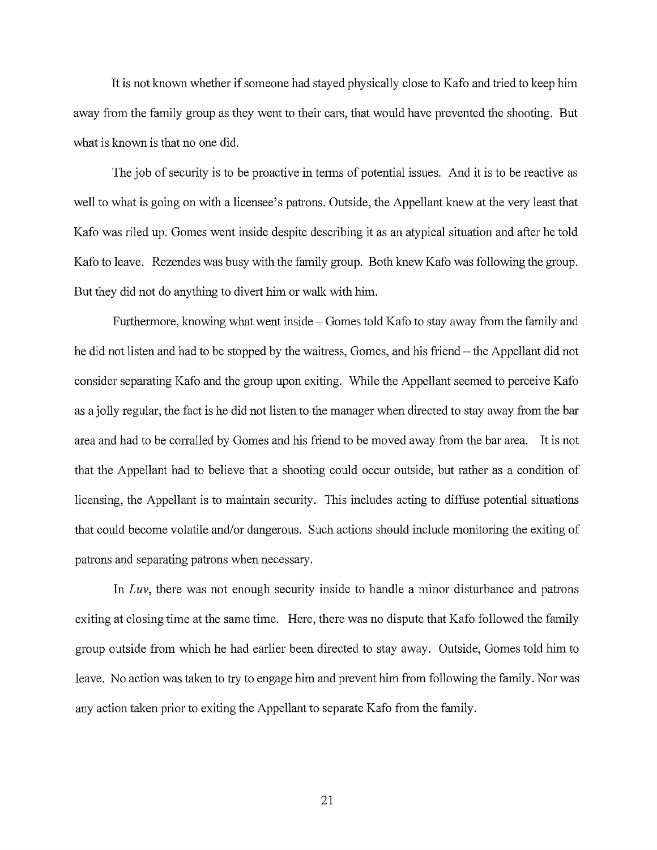It is not known whether if someone had stayed physically close to Kafo and tried to keep him away from the family group as they went to their cars, that would have prevented the shooting. But what is known is that no one did.

The job of security is to be proactive in terms of potential issues. And it is to be reactive as well to what is going on with a licensee's patrons. Outside, the Appellant knew at the very least that Kafo was riled up. Gomes went inside despite describing it as an atypical situation and after he told Kafo to leave. Rezendes was busy with the family group. Both knew Kafo was following the group. But they did not do anything to divert him or walk with him.

Furthermore, knowing what went inside – Gomes told Kafo to stay away from the family and he did not listen and had to be stopped by the waitress, Gomes, and his friend – the Appellant did not consider separating Kafo and the group upon exiting. While the Appellant seemed to perceive Kafo as a jolly regular, the fact is he did not listen to the manager when directed to stay away from the bar area and had to be corralled by Gomes and his friend to be moved away from the bar area. It is not that the Appellant had to believe that a shooting could occur outside, but rather as a condition of licensing, the Appellant is to maintain security. This includes acting to diffuse potential situations that could become volatile and/or dangerous. Such actions should include monitoring the exiting of patrons and separating patrons when necessary.

In *Luv,* there was not enough security inside to handle a minor disturbance and patrons exiting at closing time at the same time. Here, there was no dispute that Kafo followed the family group outside from which he had earlier been directed to stay away. Outside, Gomes told him to leave. No action was taken to try to engage him and prevent him from following the family. Nor was any action taken prior to exiting the Appellant to separate Kafo from the family.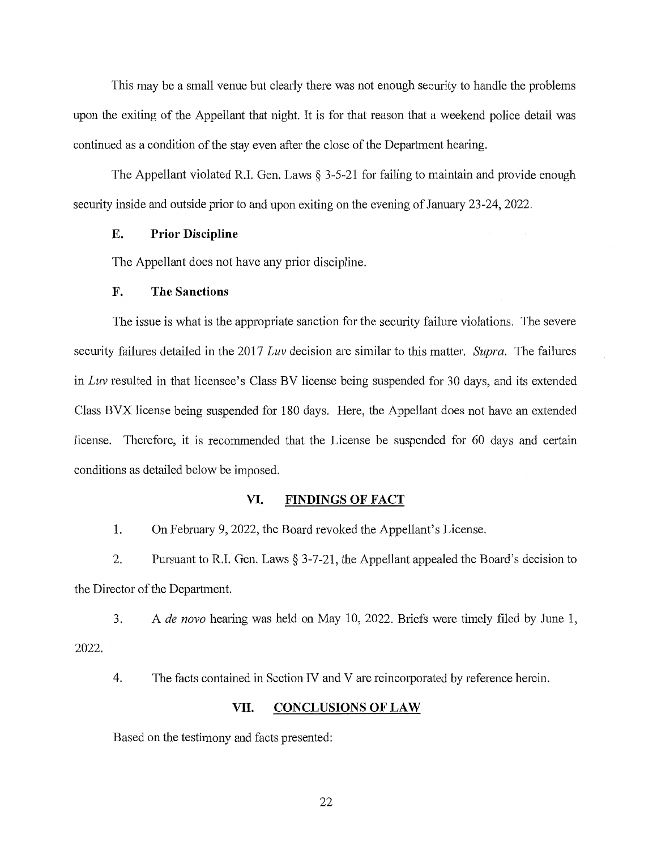This may be a small venue but clearly there was not enough security to handle the problems upon the exiting of the Appellant that night. It is for that reason that a weekend police detail was continued as a condition of the stay even after the close of the Department hearing.

The Appellant violated R.I. Gen. Laws § 3-5-21 for failing to maintain and provide enough security inside and outside prior to and upon exiting on the evening of January 23-24, 2022.

## **E. Prior Discipline**

The Appellant does not have any prior discipline.

# **F. The Sanctions**

The issue is what is the appropriate sanction for the security failure violations. The severe security failures detailed in the 2017 *Luv* decision are similar to this matter. *Supra.* The failures in *Luv* resulted in that licensee's Class BV license being suspended for 30 days, and its extended Class BVX license being suspended for 180 days. Here, the Appellant does not have an extended license. Therefore, it is recommended that the License be suspended for 60 days and certain conditions as detailed below be imposed.

#### **VI. FINDINGS OF FACT**

1. On February 9, 2022, the Board revoked the Appellant's License.

2. Pursuant to R.I. Gen. Laws § 3-7-21, the Appellant appealed the Board's decision to the Director of the Department.

3. A *de novo* hearing was held on May 10, 2022. Briefs were timely filed by June 1, 2022.

4. The facts contained in Section IV and V are reincorporated by reference herein.

#### **VII. CONCLUSIONS OF LAW**

Based on the testimony and facts presented:

22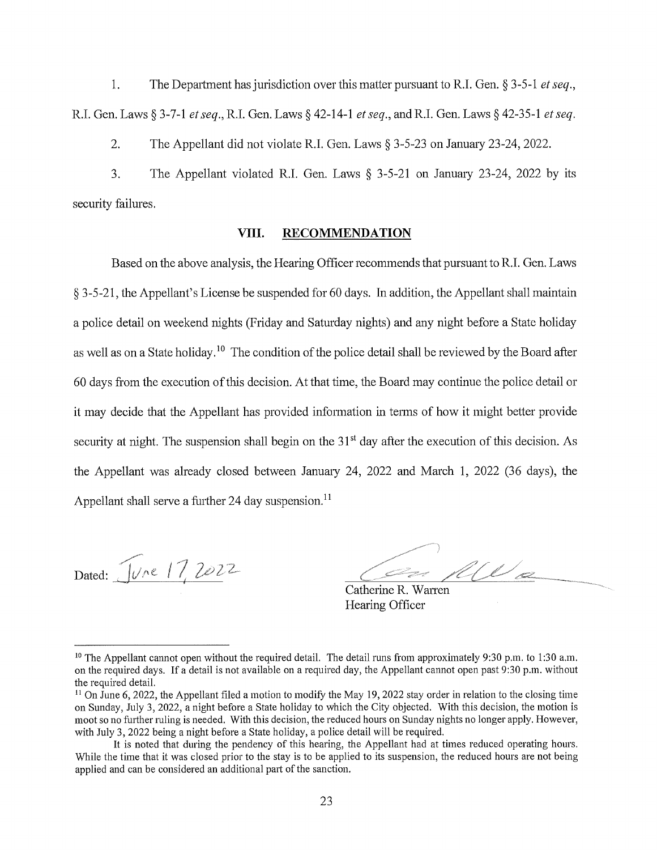1. The Department has jurisdiction over this matter pursuant to R.I. Gen. § 3-5-1 *et seq.,*  R.I. Gen. Laws § 3-7-1 *et seq.,* R.I. Gen. Laws § 42-14-1 *et seq.,* and R.I. Gen. Laws § 42-35-1 *et seq.* 

2. The Appellant did not violate R.I. Gen. Laws § 3-5-23 on Januaiy 23-24, 2022.

3. The Appellant violated R.I. Gen. Laws § 3-5-21 on Januaiy 23-24, 2022 by its security failures.

### **VIII. RECOMMENDATION**

Based on the above analysis, the Hearing Officer recommends that pursuant to R.I. Gen. Laws § 3-5-21, the Appellant's License be suspended for 60 days. In addition, the Appellant shall maintain a police detail on weekend nights (Friday and Saturday nights) and any night before a State holiday as well as on a State holiday. 10 The condition of the police detail shall be reviewed by the Board after 60 days from the execution of this decision. At that time, the Board may continue the police detail or it may decide that the Appellant has provided information in terms of how it might better provide security at night. The suspension shall begin on the 31<sup>st</sup> day after the execution of this decision. As the Appellant was already closed between Januaiy 24, 2022 and March 1, 2022 (36 days), the Appellant shall serve a further 24 day suspension.<sup>11</sup>

Dated: June 17, 2022

We

Catherine R. Warren Hearing Officer

<sup>&</sup>lt;sup>10</sup> The Appellant cannot open without the required detail. The detail runs from approximately 9:30 p.m. to 1:30 a.m. on the required days. If a detail is not available on a required day, the Appellant cannot open past 9:30 p.m. without the required detail.<br><sup>11</sup> On June 6, 2022, the Appellant filed a motion to modify the May 19, 2022 stay order in relation to the closing time

on Sunday, July 3, 2022, a night before a State holiday to which the City objected. With this decision, the motion is moot so no further ruling is needed. With this decision, the reduced hours on Sunday nights no longer apply. However, with July 3, 2022 being a night before a State holiday, a police detail will be required.

It is noted that during the pendency of this hearing, the Appellant had at times reduced operating hours. While the time that it was closed prior to the stay is to be applied to its suspension, the reduced hours are not being applied and can be considered an additional part of the sanction.